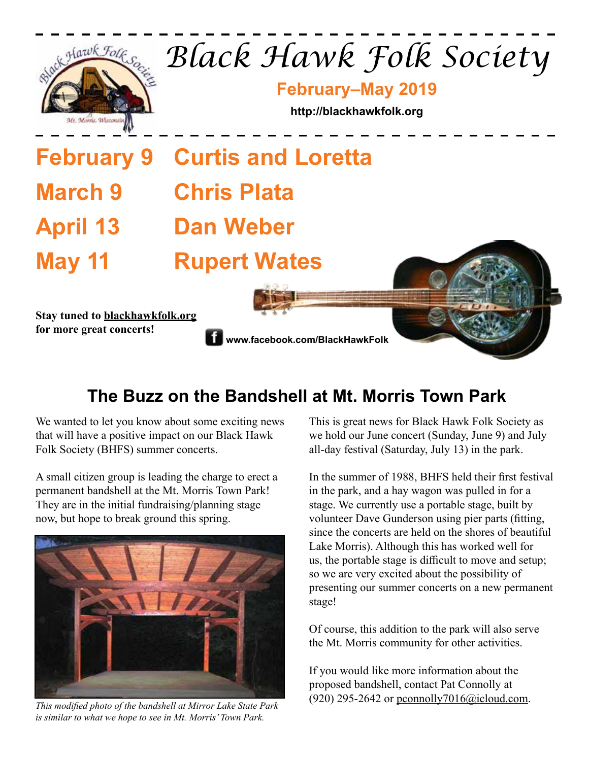

# **The Buzz on the Bandshell at Mt. Morris Town Park**

We wanted to let you know about some exciting news that will have a positive impact on our Black Hawk Folk Society (BHFS) summer concerts.

A small citizen group is leading the charge to erect a permanent bandshell at the Mt. Morris Town Park! They are in the initial fundraising/planning stage now, but hope to break ground this spring.



*is similar to what we hope to see in Mt. Morris' Town Park.*

This is great news for Black Hawk Folk Society as we hold our June concert (Sunday, June 9) and July all-day festival (Saturday, July 13) in the park.

In the summer of 1988, BHFS held their first festival in the park, and a hay wagon was pulled in for a stage. We currently use a portable stage, built by volunteer Dave Gunderson using pier parts (fitting, since the concerts are held on the shores of beautiful Lake Morris). Although this has worked well for us, the portable stage is difficult to move and setup; so we are very excited about the possibility of presenting our summer concerts on a new permanent stage!

Of course, this addition to the park will also serve the Mt. Morris community for other activities.

If you would like more information about the proposed bandshell, contact Pat Connolly at (920) 295-2642 or pconnolly7016@icloud.com. *This modified photo of the bandshell at Mirror Lake State Park*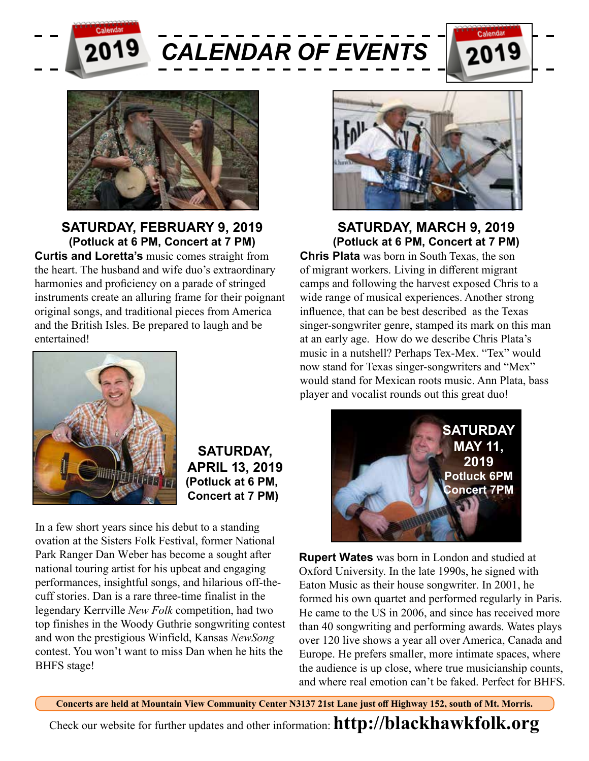

*CALENDAR OF EVENTS*





## **SATURDAY, FEBRUARY 9, 2019 (Potluck at 6 PM, Concert at 7 PM)**

**Curtis and Loretta's** music comes straight from the heart. The husband and wife duo's extraordinary harmonies and proficiency on a parade of stringed instruments create an alluring frame for their poignant original songs, and traditional pieces from America and the British Isles. Be prepared to laugh and be entertained!



**SATURDAY, APRIL 13, 2019 (Potluck at 6 PM, Concert at 7 PM)** 

In a few short years since his debut to a standing ovation at the Sisters Folk Festival, former National Park Ranger Dan Weber has become a sought after national touring artist for his upbeat and engaging performances, insightful songs, and hilarious off-thecuff stories. Dan is a rare three-time finalist in the legendary Kerrville *New Folk* competition, had two top finishes in the Woody Guthrie songwriting contest and won the prestigious Winfield, Kansas *NewSong* contest. You won't want to miss Dan when he hits the BHFS stage!



**SATURDAY, MARCH 9, 2019 (Potluck at 6 PM, Concert at 7 PM)** 

**Chris Plata** was born in South Texas, the son of migrant workers. Living in different migrant camps and following the harvest exposed Chris to a wide range of musical experiences. Another strong influence, that can be best described as the Texas singer-songwriter genre, stamped its mark on this man at an early age. How do we describe Chris Plata's music in a nutshell? Perhaps Tex-Mex. "Tex" would now stand for Texas singer-songwriters and "Mex" would stand for Mexican roots music. Ann Plata, bass player and vocalist rounds out this great duo!



**Rupert Wates** was born in London and studied at Oxford University. In the late 1990s, he signed with Eaton Music as their house songwriter. In 2001, he formed his own quartet and performed regularly in Paris. He came to the US in 2006, and since has received more than 40 songwriting and performing awards. Wates plays over 120 live shows a year all over America, Canada and Europe. He prefers smaller, more intimate spaces, where the audience is up close, where true musicianship counts, and where real emotion can't be faked. Perfect for BHFS.

**Concerts are held at Mountain View Community Center N3137 21st Lane just off Highway 152, south of Mt. Morris.**

Check our website for further updates and other information: **http://blackhawkfolk.org**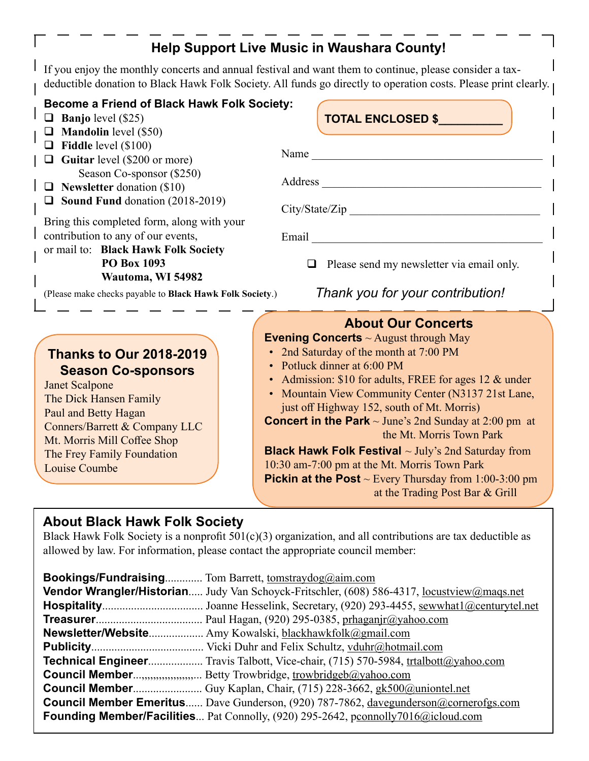## **Help Support Live Music in Waushara County!**

If you enjoy the monthly concerts and annual festival and want them to continue, please consider a taxdeductible donation to Black Hawk Folk Society. All funds go directly to operation costs. Please print clearly.

#### **Become a Friend of Black Hawk Folk Society:**

- $\Box$  **Banjo** level (\$25)
- **Mandolin** level (\$50)
- **Fiddle** level (\$100)
- **Guitar** level (\$200 or more) Season Co-sponsor (\$250)
- **Newsletter** donation (\$10)
- **Sound Fund** donation (2018-2019)

Bring this completed form, along with your contribution to any of our events,

or mail to: **Black Hawk Folk Society PO Box 1093 Wautoma, WI 54982**

(Please make checks payable to **Black Hawk Folk** 

## **Thanks to Our 2018-2019 Season Co-sponsors**

Janet Scalpone The Dick Hansen Family Paul and Betty Hagan Conners/Barrett & Company LLC Mt. Morris Mill Coffee Shop The Frey Family Foundation Louise Coumbe

|                                               | Name                                                                                                 |  |  |
|-----------------------------------------------|------------------------------------------------------------------------------------------------------|--|--|
|                                               | Address                                                                                              |  |  |
|                                               | City/State/Zip                                                                                       |  |  |
| ır                                            | Email                                                                                                |  |  |
|                                               | $\Box$ Please send my newsletter via email only.                                                     |  |  |
| Thank you for your contribution!<br>Society.) |                                                                                                      |  |  |
|                                               |                                                                                                      |  |  |
|                                               | <b>About Our Concerts</b>                                                                            |  |  |
|                                               | <b>Evening Concerts</b> $\sim$ August through May                                                    |  |  |
|                                               | • 2nd Saturday of the month at 7:00 PM                                                               |  |  |
|                                               | • Potluck dinner at 6:00 PM                                                                          |  |  |
|                                               | • Admission: \$10 for adults, FREE for ages 12 $\&$ under                                            |  |  |
|                                               | • Mountain View Community Center (N3137 21st Lane,                                                   |  |  |
|                                               | just off Highway 152, south of Mt. Morris)                                                           |  |  |
|                                               | <b>Concert in the Park</b> $\sim$ June's 2nd Sunday at 2:00 pm at                                    |  |  |
|                                               | the Mt. Morris Town Park                                                                             |  |  |
|                                               | Black Hawk Folk Festival ~ July's 2nd Saturday from                                                  |  |  |
|                                               | 10:30 am-7:00 pm at the Mt. Morris Town Park                                                         |  |  |
|                                               | <b>Pickin at the Post</b> $\sim$ Every Thursday from 1:00-3:00 pm<br>at the Trading Post Bar & Grill |  |  |

**TOTAL ENCLOSED \$\_\_\_\_\_\_\_\_\_\_**

### **About Black Hawk Folk Society**

Black Hawk Folk Society is a nonprofit  $501(c)(3)$  organization, and all contributions are tax deductible as allowed by law. For information, please contact the appropriate council member:

| Bookings/Fundraising Tom Barrett, tomstraydog@aim.com                                       |
|---------------------------------------------------------------------------------------------|
| Vendor Wrangler/Historian Judy Van Schoyck-Fritschler, (608) 586-4317, locustyiew@maqs.net  |
|                                                                                             |
|                                                                                             |
| Newsletter/Website Amy Kowalski, blackhawkfolk@gmail.com                                    |
|                                                                                             |
| <b>Technical Engineer</b> Travis Talbott, Vice-chair, (715) 570-5984, trtalbott@yahoo.com   |
| <b>Council Member,,,,,,,,,,,,,,,,</b> Betty Trowbridge, trowbridgeb@yahoo.com               |
|                                                                                             |
| <b>Council Member Emeritus</b> Dave Gunderson, (920) 787-7862, davegunderson@cornerofgs.com |
| Founding Member/Facilities Pat Connolly, (920) 295-2642, pconnolly7016@icloud.com           |